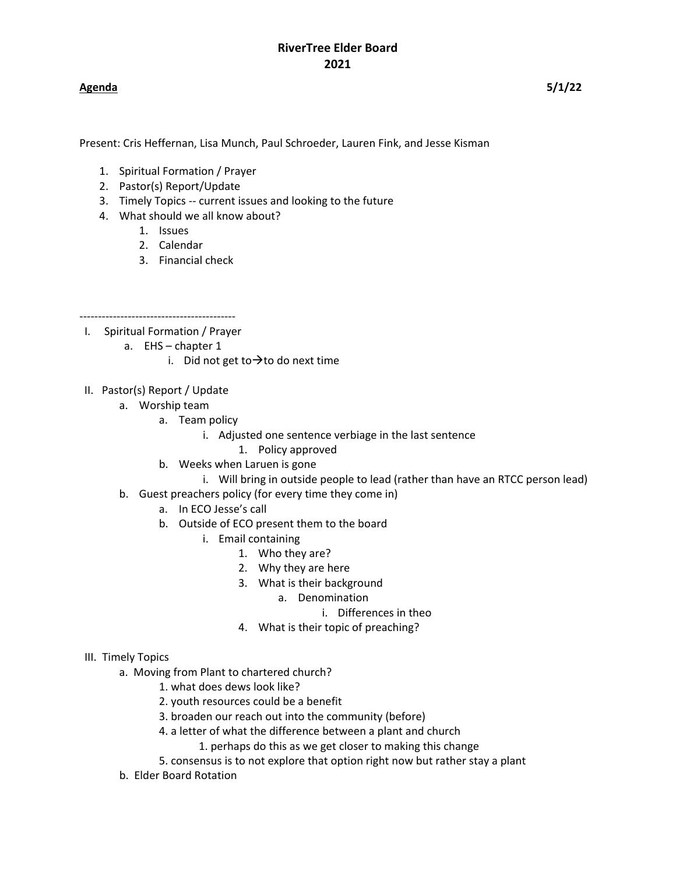### **Agenda 5/1/22**

Present: Cris Heffernan, Lisa Munch, Paul Schroeder, Lauren Fink, and Jesse Kisman

- 1. Spiritual Formation / Prayer
- 2. Pastor(s) Report/Update
- 3. Timely Topics -- current issues and looking to the future
- 4. What should we all know about?
	- 1. Issues
	- 2. Calendar
	- 3. Financial check

------------------------------------------

- I. Spiritual Formation / Prayer
	- a. EHS chapter 1
		- i. Did not get to  $\rightarrow$  to do next time
- II. Pastor(s) Report / Update
	- a. Worship team
		- a. Team policy
			- i. Adjusted one sentence verbiage in the last sentence
				- 1. Policy approved
		- b. Weeks when Laruen is gone
			- i. Will bring in outside people to lead (rather than have an RTCC person lead)
	- b. Guest preachers policy (for every time they come in)
		- a. In ECO Jesse's call
		- b. Outside of ECO present them to the board
			- i. Email containing
				- 1. Who they are?
				- 2. Why they are here
				- 3. What is their background
					- a. Denomination
						- i. Differences in theo
				- 4. What is their topic of preaching?

### III. Timely Topics

- a. Moving from Plant to chartered church?
	- 1. what does dews look like?
	- 2. youth resources could be a benefit
	- 3. broaden our reach out into the community (before)
	- 4. a letter of what the difference between a plant and church
		- 1. perhaps do this as we get closer to making this change
	- 5. consensus is to not explore that option right now but rather stay a plant
- b. Elder Board Rotation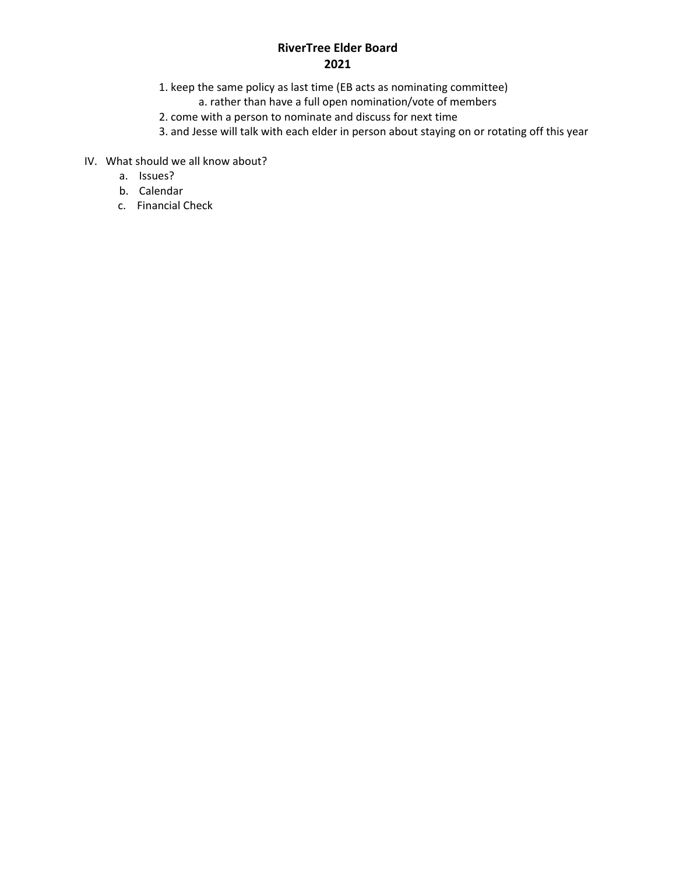# **RiverTree Elder Board 2021**

- 1. keep the same policy as last time (EB acts as nominating committee)
	- a. rather than have a full open nomination/vote of members
- 2. come with a person to nominate and discuss for next time
- 3. and Jesse will talk with each elder in person about staying on or rotating off this year
- IV. What should we all know about?
	- a. Issues?
	- b. Calendar
	- c. Financial Check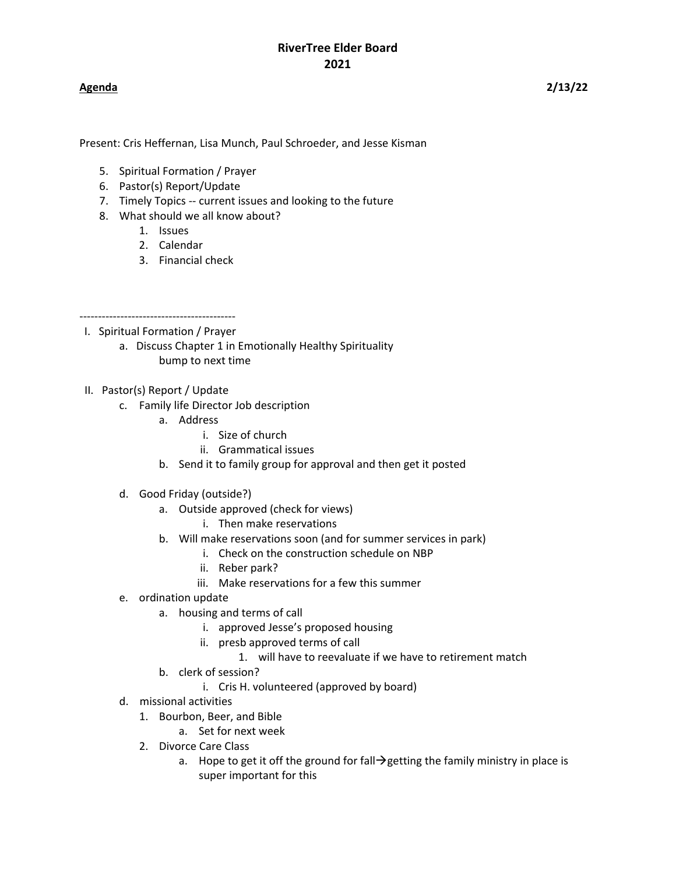**Agenda 2/13/22**

Present: Cris Heffernan, Lisa Munch, Paul Schroeder, and Jesse Kisman

- 5. Spiritual Formation / Prayer
- 6. Pastor(s) Report/Update
- 7. Timely Topics -- current issues and looking to the future
- 8. What should we all know about?
	- 1. Issues
	- 2. Calendar
	- 3. Financial check
- 
- I. Spiritual Formation / Prayer
	- a. Discuss Chapter 1 in Emotionally Healthy Spirituality bump to next time
- II. Pastor(s) Report / Update
	- c. Family life Director Job description
		- a. Address
			- i. Size of church
			- ii. Grammatical issues
		- b. Send it to family group for approval and then get it posted
	- d. Good Friday (outside?)
		- a. Outside approved (check for views)
			- i. Then make reservations
		- b. Will make reservations soon (and for summer services in park)
			- i. Check on the construction schedule on NBP
			- ii. Reber park?
			- iii. Make reservations for a few this summer
	- e. ordination update
		- a. housing and terms of call
			- i. approved Jesse's proposed housing
			- ii. presb approved terms of call
				- 1. will have to reevaluate if we have to retirement match
		- b. clerk of session?
			- i. Cris H. volunteered (approved by board)
	- d. missional activities
		- 1. Bourbon, Beer, and Bible
			- a. Set for next week
		- 2. Divorce Care Class
			- a. Hope to get it off the ground for fall  $\rightarrow$  getting the family ministry in place is super important for this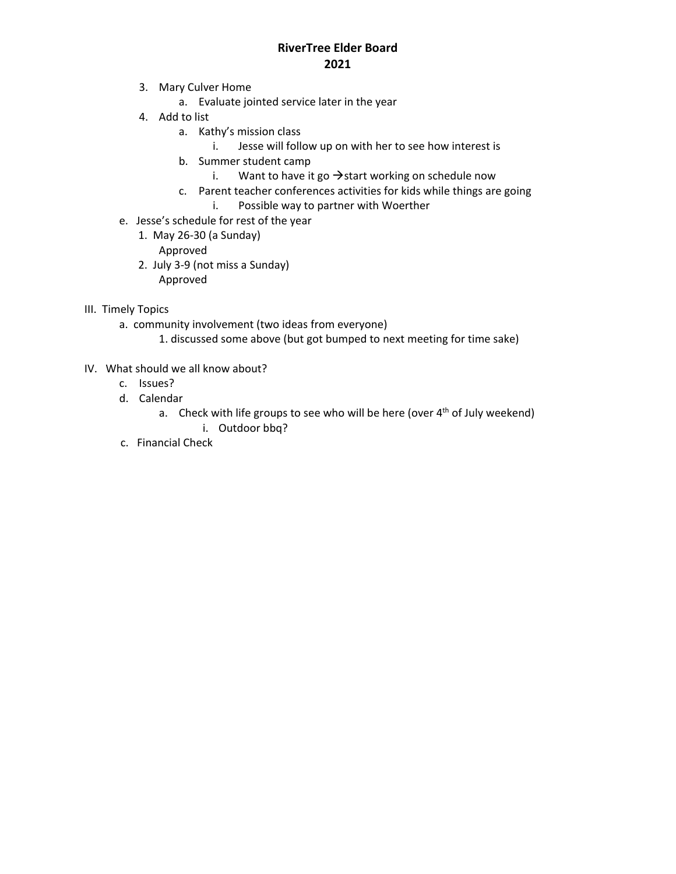### **RiverTree Elder Board 2021**

- 3. Mary Culver Home
	- a. Evaluate jointed service later in the year
- 4. Add to list
	- a. Kathy's mission class
		- i. Jesse will follow up on with her to see how interest is
	- b. Summer student camp
		- i. Want to have it go  $\rightarrow$  start working on schedule now
	- c. Parent teacher conferences activities for kids while things are going
		- i. Possible way to partner with Woerther
- e. Jesse's schedule for rest of the year
	- 1. May 26-30 (a Sunday)
		- Approved
	- 2. July 3-9 (not miss a Sunday) Approved
- III. Timely Topics
	- a. community involvement (two ideas from everyone)
		- 1. discussed some above (but got bumped to next meeting for time sake)
- IV. What should we all know about?
	- c. Issues?
	- d. Calendar
		- a. Check with life groups to see who will be here (over  $4<sup>th</sup>$  of July weekend)
			- i. Outdoor bbq?
	- c. Financial Check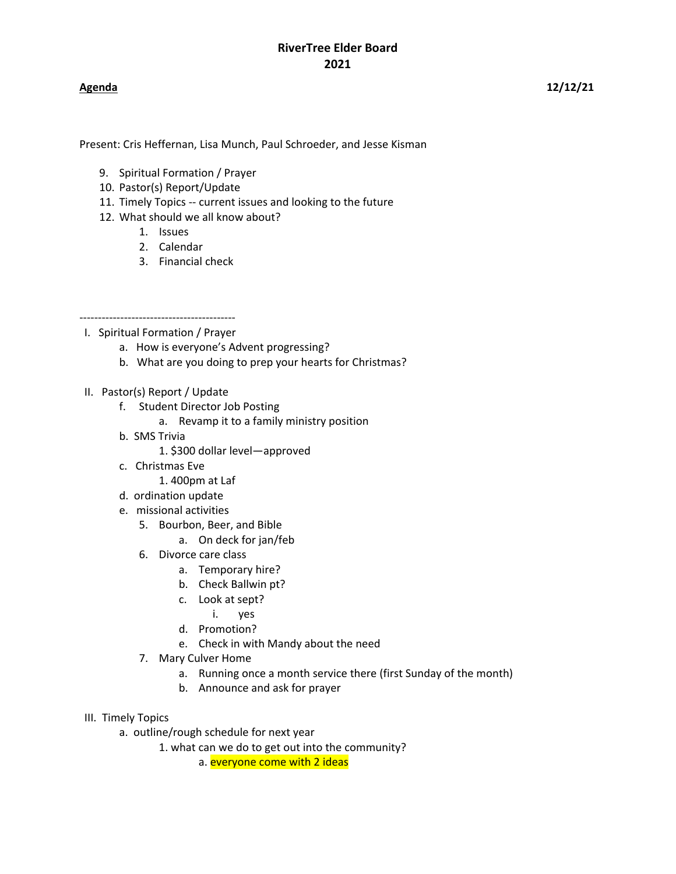**Agenda 12/12/21**

Present: Cris Heffernan, Lisa Munch, Paul Schroeder, and Jesse Kisman

- 9. Spiritual Formation / Prayer
- 10. Pastor(s) Report/Update
- 11. Timely Topics -- current issues and looking to the future
- 12. What should we all know about?
	- 1. Issues
	- 2. Calendar
	- 3. Financial check

------------------------------------------ I. Spiritual Formation / Prayer

- a. How is everyone's Advent progressing?
- b. What are you doing to prep your hearts for Christmas?
- II. Pastor(s) Report / Update
	- f. Student Director Job Posting
		- a. Revamp it to a family ministry position
	- b. SMS Trivia

1. \$300 dollar level—approved

c. Christmas Eve

1. 400pm at Laf

- d. ordination update
- e. missional activities
	- 5. Bourbon, Beer, and Bible
		- a. On deck for jan/feb
	- 6. Divorce care class
		- a. Temporary hire?
		- b. Check Ballwin pt?
		- c. Look at sept?
			- i. yes
		- d. Promotion?
		- e. Check in with Mandy about the need
	- 7. Mary Culver Home
		- a. Running once a month service there (first Sunday of the month)
		- b. Announce and ask for prayer
- III. Timely Topics
	- a. outline/rough schedule for next year
		- 1. what can we do to get out into the community?

a. everyone come with 2 ideas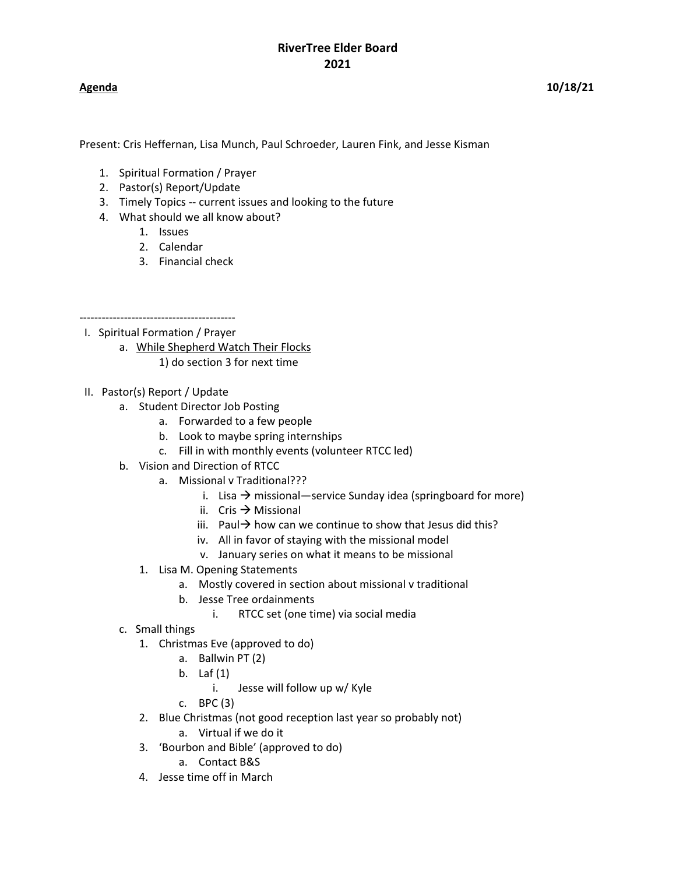**Agenda 10/18/21**

Present: Cris Heffernan, Lisa Munch, Paul Schroeder, Lauren Fink, and Jesse Kisman

- 1. Spiritual Formation / Prayer
- 2. Pastor(s) Report/Update
- 3. Timely Topics -- current issues and looking to the future
- 4. What should we all know about?
	- 1. Issues
	- 2. Calendar
	- 3. Financial check

------------------------------------------

- I. Spiritual Formation / Prayer
	- a. While Shepherd Watch Their Flocks
		- 1) do section 3 for next time
- II. Pastor(s) Report / Update
	- a. Student Director Job Posting
		- a. Forwarded to a few people
		- b. Look to maybe spring internships
		- c. Fill in with monthly events (volunteer RTCC led)
	- b. Vision and Direction of RTCC
		- a. Missional v Traditional???
			- i. Lisa  $\rightarrow$  missional—service Sunday idea (springboard for more)
			- ii. Cris  $\rightarrow$  Missional
			- iii. Paul  $\rightarrow$  how can we continue to show that Jesus did this?
			- iv. All in favor of staying with the missional model
			- v. January series on what it means to be missional
		- 1. Lisa M. Opening Statements
			- a. Mostly covered in section about missional v traditional
			- b. Jesse Tree ordainments
				- i. RTCC set (one time) via social media
	- c. Small things
		- 1. Christmas Eve (approved to do)
			- a. Ballwin PT (2)
			- b. Laf (1)
				- i. Jesse will follow up w/ Kyle
			- c. BPC (3)
		- 2. Blue Christmas (not good reception last year so probably not)
			- a. Virtual if we do it
		- 3. 'Bourbon and Bible' (approved to do)
			- a. Contact B&S
		- 4. Jesse time off in March